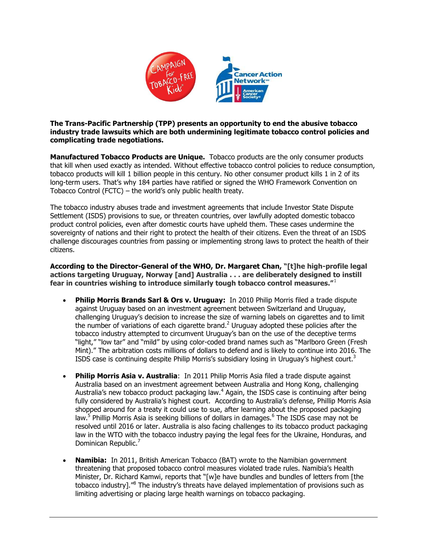

**The Trans-Pacific Partnership (TPP) presents an opportunity to end the abusive tobacco industry trade lawsuits which are both undermining legitimate tobacco control policies and complicating trade negotiations.**

**Manufactured Tobacco Products are Unique.** Tobacco products are the only consumer products that kill when used exactly as intended. Without effective tobacco control policies to reduce consumption, tobacco products will kill 1 billion people in this century. No other consumer product kills 1 in 2 of its long-term users. That's why 184 parties have ratified or signed the WHO Framework Convention on Tobacco Control (FCTC) – the world's only public health treaty.

The tobacco industry abuses trade and investment agreements that include Investor State Dispute Settlement (ISDS) provisions to sue, or threaten countries, over lawfully adopted domestic tobacco product control policies, even after domestic courts have upheld them. These cases undermine the sovereignty of nations and their right to protect the health of their citizens. Even the threat of an ISDS challenge discourages countries from passing or implementing strong laws to protect the health of their citizens.

**According to the Director-General of the WHO, Dr. Margaret Chan, "[t]he high-profile legal actions targeting Uruguay, Norway [and] Australia . . . are deliberately designed to instill fear in countries wishing to introduce similarly tough tobacco control measures."**<sup>1</sup>

- **Philip Morris Brands Sarl & Ors v. Uruguay:** In 2010 Philip Morris filed a trade dispute against Uruguay based on an investment agreement between Switzerland and Uruguay, challenging Uruguay's decision to increase the size of warning labels on cigarettes and to limit the number of variations of each cigarette brand.<sup>2</sup> Uruguay adopted these policies after the tobacco industry attempted to circumvent Uruguay's ban on the use of the deceptive terms "light," "low tar" and "mild" by using color-coded brand names such as "Marlboro Green (Fresh Mint)." The arbitration costs millions of dollars to defend and is likely to continue into 2016. The ISDS case is continuing despite Philip Morris's subsidiary losing in Uruguay's highest court.<sup>3</sup>
- **Philip Morris Asia v. Australia**: In 2011 Philip Morris Asia filed a trade dispute against Australia based on an investment agreement between Australia and Hong Kong, challenging Australia's new tobacco product packaging law.<sup>4</sup> Again, the ISDS case is continuing after being fully considered by Australia's highest court. According to Australia's defense, Phillip Morris Asia shopped around for a treaty it could use to sue, after learning about the proposed packaging law.<sup>5</sup> Phillip Morris Asia is seeking billions of dollars in damages.<sup>6</sup> The ISDS case may not be resolved until 2016 or later. Australia is also facing challenges to its tobacco product packaging law in the WTO with the tobacco industry paying the legal fees for the Ukraine, Honduras, and Dominican Republic.<sup>7</sup>
- **Namibia:** In 2011, British American Tobacco (BAT) wrote to the Namibian government threatening that proposed tobacco control measures violated trade rules. Namibia's Health Minister, Dr. Richard Kamwi, reports that "[w]e have bundles and bundles of letters from [the tobacco industry]."<sup>8</sup> The industry's threats have delayed implementation of provisions such as limiting advertising or placing large health warnings on tobacco packaging.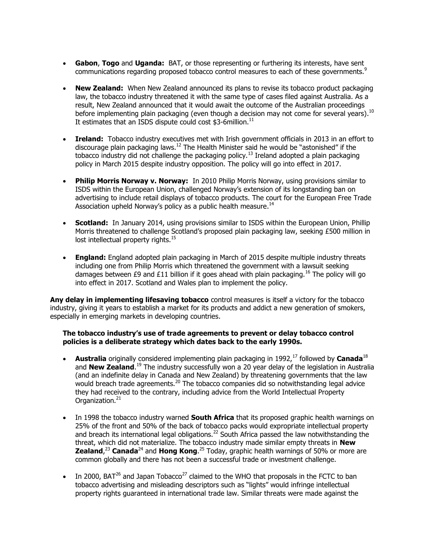- **Gabon**, **Togo** and **Uganda:** BAT, or those representing or furthering its interests, have sent communications regarding proposed tobacco control measures to each of these governments.<sup>9</sup>
- **New Zealand:** When New Zealand announced its plans to revise its tobacco product packaging law, the tobacco industry threatened it with the same type of cases filed against Australia. As a result, New Zealand announced that it would await the outcome of the Australian proceedings before implementing plain packaging (even though a decision may not come for several years).  $^{10}$ It estimates that an ISDS dispute could cost \$3-6million.<sup>11</sup>
- **Ireland:** Tobacco industry executives met with Irish government officials in 2013 in an effort to discourage plain packaging laws.<sup>12</sup> The Health Minister said he would be "astonished" if the tobacco industry did not challenge the packaging policy.<sup>13</sup> Ireland adopted a plain packaging policy in March 2015 despite industry opposition. The policy will go into effect in 2017.
- **Philip Morris Norway v. Norway:** In 2010 Philip Morris Norway, using provisions similar to ISDS within the European Union, challenged Norway's extension of its longstanding ban on advertising to include retail displays of tobacco products. The court for the European Free Trade Association upheld Norway's policy as a public health measure.<sup>14</sup>
- **Scotland:** In January 2014, using provisions similar to ISDS within the European Union, Phillip Morris threatened to challenge Scotland's proposed plain packaging law, seeking £500 million in lost intellectual property rights.<sup>15</sup>
- **England:** England adopted plain packaging in March of 2015 despite multiple industry threats including one from Philip Morris which threatened the government with a lawsuit seeking damages between £9 and £11 billion if it goes ahead with plain packaging.<sup>16</sup> The policy will go into effect in 2017. Scotland and Wales plan to implement the policy.

**Any delay in implementing lifesaving tobacco** control measures is itself a victory for the tobacco industry, giving it years to establish a market for its products and addict a new generation of smokers, especially in emerging markets in developing countries.

## **The tobacco industry's use of trade agreements to prevent or delay tobacco control policies is a deliberate strategy which dates back to the early 1990s.**

- **Australia** originally considered implementing plain packaging in 1992,<sup>17</sup> followed by **Canada**<sup>18</sup> and **New Zealand**. <sup>19</sup> The industry successfully won a 20 year delay of the legislation in Australia (and an indefinite delay in Canada and New Zealand) by threatening governments that the law would breach trade agreements. $20$  The tobacco companies did so notwithstanding legal advice they had received to the contrary, including advice from the World Intellectual Property Organization.<sup>21</sup>
- In 1998 the tobacco industry warned **South Africa** that its proposed graphic health warnings on 25% of the front and 50% of the back of tobacco packs would expropriate intellectual property and breach its international legal obligations.<sup>22</sup> South Africa passed the law notwithstanding the threat, which did not materialize. The tobacco industry made similar empty threats in **New Zealand,**<sup>23</sup> Canada<sup>24</sup> and Hong Kong.<sup>25</sup> Today, graphic health warnings of 50% or more are common globally and there has not been a successful trade or investment challenge.
- In 2000, BAT $^{26}$  and Japan Tobacco<sup>27</sup> claimed to the WHO that proposals in the FCTC to ban tobacco advertising and misleading descriptors such as "lights" would infringe intellectual property rights guaranteed in international trade law. Similar threats were made against the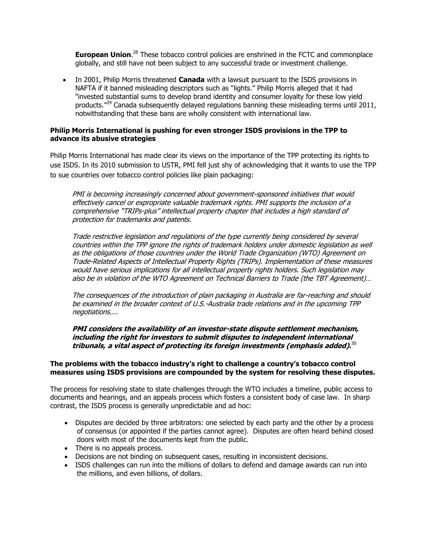**European Union.**<sup>28</sup> These tobacco control policies are enshrined in the FCTC and commonplace globally, and still have not been subject to any successful trade or investment challenge.

 In 2001, Philip Morris threatened **Canada** with a lawsuit pursuant to the ISDS provisions in NAFTA if it banned misleading descriptors such as "lights." Philip Morris alleged that it had "invested substantial sums to develop brand identity and consumer loyalty for these low yield products."<sup>29</sup> Canada subsequently delayed regulations banning these misleading terms until 2011, notwithstanding that these bans are wholly consistent with international law.

## **Philip Morris International is pushing for even stronger ISDS provisions in the TPP to advance its abusive strategies**

Philip Morris International has made clear its views on the importance of the TPP protecting its rights to use ISDS. In its 2010 submission to USTR, PMI fell just shy of acknowledging that it wants to use the TPP to sue countries over tobacco control policies like plain packaging:

PMI is becoming increasingly concerned about government-sponsored initiatives that would effectively cancel or expropriate valuable trademark rights. PMI supports the inclusion of a comprehensive "TRIPs-plus" intellectual property chapter that includes a high standard of protection for trademarks and patents.

Trade restrictive legislation and regulations of the type currently being considered by several countries within the TPP ignore the rights of trademark holders under domestic legislation as well as the obligations of those countries under the World Trade Organization (WTO) Agreement on Trade-Related Aspects of Intellectual Property Rights (TRIPs). Implementation of these measures would have serious implications for all intellectual property rights holders. Such legislation may also be in violation of the WTO Agreement on Technical Barriers to Trade (the TBT Agreement)…

The consequences of the introduction of plain packaging in Australia are far-reaching and should be examined in the broader context of U.S.-Australia trade relations and in the upcoming TPP negotiations....

**PMI considers the availability of an investor-state dispute settlement mechanism, including the right for investors to submit disputes to independent international tribunals, a vital aspect of protecting its foreign investments (emphasis added).** 30

## **The problems with the tobacco industry's right to challenge a country's tobacco control measures using ISDS provisions are compounded by the system for resolving these disputes.**

The process for resolving state to state challenges through the WTO includes a timeline, public access to documents and hearings, and an appeals process which fosters a consistent body of case law. In sharp contrast, the ISDS process is generally unpredictable and ad hoc:

- Disputes are decided by three arbitrators: one selected by each party and the other by a process of consensus (or appointed if the parties cannot agree). Disputes are often heard behind closed doors with most of the documents kept from the public.
- There is no appeals process.
- Decisions are not binding on subsequent cases, resulting in inconsistent decisions.
- ISDS challenges can run into the millions of dollars to defend and damage awards can run into the millions, and even billions, of dollars.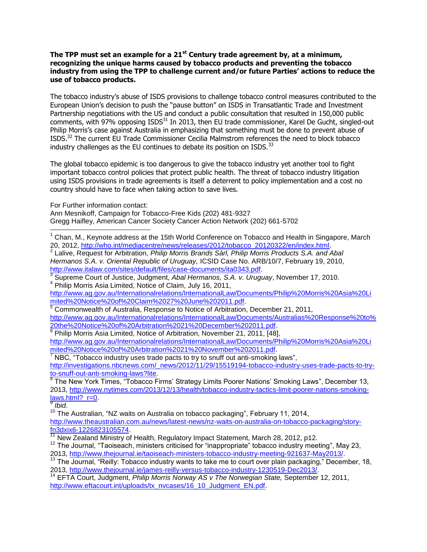## **The TPP must set an example for a 21st Century trade agreement by, at a minimum, recognizing the unique harms caused by tobacco products and preventing the tobacco industry from using the TPP to challenge current and/or future Parties' actions to reduce the use of tobacco products.**

The tobacco industry's abuse of ISDS provisions to challenge tobacco control measures contributed to the European Union's decision to push the "pause button" on ISDS in Transatlantic Trade and Investment Partnership negotiations with the US and conduct a public consultation that resulted in 150,000 public comments, with 97% opposing ISDS<sup>31</sup> In 2013, then EU trade commissioner, Karel De Gucht, singled-out Philip Morris's case against Australia in emphasizing that something must be done to prevent abuse of ISDS.<sup>32</sup> The current EU Trade Commissioner Cecilia Malmstrom references the need to block tobacco industry challenges as the EU continues to debate its position on ISDS. $^{33}$ 

The global tobacco epidemic is too dangerous to give the tobacco industry yet another tool to fight important tobacco control policies that protect public health. The threat of tobacco industry litigation using ISDS provisions in trade agreements is itself a deterrent to policy implementation and a cost no country should have to face when taking action to save lives.

For Further information contact:

Ann Mesnikoff, Campaign for Tobacco-Free Kids (202) 481-9327 Gregg Haifley, American Cancer Society Cancer Action Network (202) 661-5702  $\overline{\phantom{a}}$ 

 $<sup>1</sup>$  Chan, M., Keynote address at the 15th World Conference on Tobacco and Health in Singapore, March</sup> 20, 2012, [http://who.int/mediacentre/news/releases/2012/tobacco\\_20120322/en/index.html.](http://who.int/mediacentre/news/releases/2012/tobacco_20120322/en/index.html)

2 Lalive, Request for Arbitration, *Philip Morris Brands Sàrl, Philip Morris Products S.A. and Abal Hermanos S.A. v. Oriental Republic of Uruguay,* ICSID Case No. ARB/10/7, February 19, 2010, [http://www.italaw.com/sites/default/files/case-documents/ita0343.pdf.](http://www.italaw.com/sites/default/files/case-documents/ita0343.pdf)<br>3 Supreme Court of Justice, Judgment, Abel Hermanes, S.A. v. Urugu

[http://www.ag.gov.au/Internationalrelations/InternationalLaw/Documents/Philip%20Morris%20Asia%20Li](http://www.ag.gov.au/Internationalrelations/InternationalLaw/Documents/Philip%20Morris%20Asia%20Limited%20Notice%20of%20Claim%2027%20June%202011.pdf) [mited%20Notice%20of%20Claim%2027%20June%202011.pdf.](http://www.ag.gov.au/Internationalrelations/InternationalLaw/Documents/Philip%20Morris%20Asia%20Limited%20Notice%20of%20Claim%2027%20June%202011.pdf)

5 Commonwealth of Australia, Response to Notice of Arbitration, December 21, 2011, [http://www.ag.gov.au/Internationalrelations/InternationalLaw/Documents/Australias%20Response%20to%](http://www.ag.gov.au/Internationalrelations/InternationalLaw/Documents/Australias%20Response%20to%20the%20Notice%20of%20Arbitration%2021%20December%202011.pdf) [20the%20Notice%20of%20Arbitration%2021%20December%202011.pdf.](http://www.ag.gov.au/Internationalrelations/InternationalLaw/Documents/Australias%20Response%20to%20the%20Notice%20of%20Arbitration%2021%20December%202011.pdf)

<sup>6</sup> Philip Morris Asia Limited, Notice of Arbitration, November 21, 2011, [48], [http://www.ag.gov.au/Internationalrelations/InternationalLaw/Documents/Philip%20Morris%20Asia%20Li](http://www.ag.gov.au/Internationalrelations/InternationalLaw/Documents/Philip%20Morris%20Asia%20Limited%20Notice%20of%20Arbitration%2021%20November%202011.pdf) [mited%20Notice%20of%20Arbitration%2021%20November%202011.pdf.](http://www.ag.gov.au/Internationalrelations/InternationalLaw/Documents/Philip%20Morris%20Asia%20Limited%20Notice%20of%20Arbitration%2021%20November%202011.pdf)

NBC, "Tobacco industry uses trade pacts to try to snuff out anti-smoking laws", [http://investigations.nbcnews.com/\\_news/2012/11/29/15519194-tobacco-industry-uses-trade-pacts-to-try](http://investigations.nbcnews.com/_news/2012/11/29/15519194-tobacco-industry-uses-trade-pacts-to-try-to-snuff-out-anti-smoking-laws?lite)[to-snuff-out-anti-smoking-laws?lite.](http://investigations.nbcnews.com/_news/2012/11/29/15519194-tobacco-industry-uses-trade-pacts-to-try-to-snuff-out-anti-smoking-laws?lite)

<sup>8</sup> The New York Times, "Tobacco Firms' Strategy Limits Poorer Nations' Smoking Laws", December 13, 2013, [http://www.nytimes.com/2013/12/13/health/tobacco-industry-tactics-limit-poorer-nations-smoking](http://www.nytimes.com/2013/12/13/health/tobacco-industry-tactics-limit-poorer-nations-smoking-laws.html?_r=0)[laws.html?\\_r=0.](http://www.nytimes.com/2013/12/13/health/tobacco-industry-tactics-limit-poorer-nations-smoking-laws.html?_r=0) 9 *Ibid*.

 $10$  The Australian, "NZ waits on Australia on tobacco packaging", February 11, 2014, [http://www.theaustralian.com.au/news/latest-news/nz-waits-on-australia-on-tobacco-packaging/story-](http://www.theaustralian.com.au/news/latest-news/nz-waits-on-australia-on-tobacco-packaging/story-fn3dxix6-1226823105574)

[fn3dxix6-1226823105574.](http://www.theaustralian.com.au/news/latest-news/nz-waits-on-australia-on-tobacco-packaging/story-fn3dxix6-1226823105574)

New Zealand Ministry of Health, Regulatory Impact Statement, March 28, 2012, p12.

<sup>12</sup> The Journal, "Taoiseach, ministers criticised for "inappropriate" tobacco industry meeting", May 23, 2013, [http://www.thejournal.ie/taoiseach-ministers-tobacco-industry-meeting-921637-May2013/.](http://www.thejournal.ie/taoiseach-ministers-tobacco-industry-meeting-921637-May2013/)

<sup>13</sup> The Journal, "Reilly: Tobacco industry wants to take me to court over plain packaging," December, 18, 2013, [http://www.thejournal.ie/james-reilly-versus-tobacco-industry-1230519-Dec2013/.](http://www.thejournal.ie/james-reilly-versus-tobacco-industry-1230519-Dec2013/)

<sup>14</sup> EFTA Court, Judgment, *Philip Morris Norway AS v The Norwegian State,* September 12, 2011, [http://www.eftacourt.int/uploads/tx\\_nvcases/16\\_10\\_Judgment\\_EN.pdf.](http://www.eftacourt.int/uploads/tx_nvcases/16_10_Judgment_EN.pdf)

Supreme Court of Justice, Judgment, *Abal Hermanos, S.A. v. Uruguay*, November 17, 2010. <sup>4</sup> Philip Morris Asia Limited, Notice of Claim, July 16, 2011,